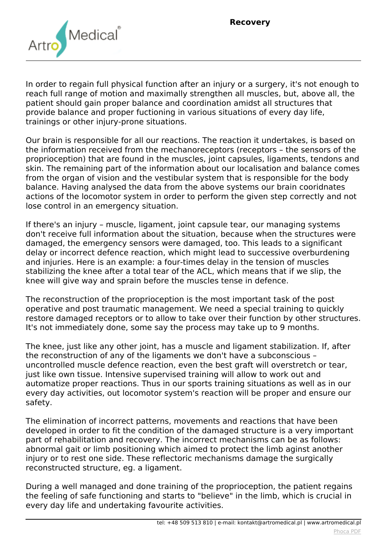

*In order to regain full physical function after an injury or a surgery, it's not enough to reach full range of motion and maximally strengthen all muscles, but, above all, the patient should gain proper balance and coordination amidst all structures that provide balance and proper fuctioning in various situations of every day life, trainings or other injury-prone situations.*

*Our brain is responsible for all our reactions. The reaction it undertakes, is based on the information received from the mechanoreceptors (receptors – the sensors of the proprioception) that are found in the muscles, joint capsules, ligaments, tendons and skin. The remaining part of the information about our localisation and balance comes from the organ of vision and the vestibular system that is responsible for the body balance. Having analysed the data from the above systems our brain cooridnates actions of the locomotor system in order to perform the given step correctly and not lose control in an emergency situation.*

*If there's an injury – muscle, ligament, joint capsule tear, our managing systems don't receive full information about the situation, because when the structures were damaged, the emergency sensors were damaged, too. This leads to a significant delay or incorrect defence reaction, which might lead to successive overburdening and injuries. Here is an example: a four-times delay in the tension of muscles stabilizing the knee after a total tear of the ACL, which means that if we slip, the knee will give way and sprain before the muscles tense in defence.*

*The reconstruction of the proprioception is the most important task of the post operative and post traumatic management. We need a special training to quickly restore damaged receptors or to allow to take over their function by other structures. It's not immediately done, some say the process may take up to 9 months.*

*The knee, just like any other joint, has a muscle and ligament stabilization. If, after the reconstruction of any of the ligaments we don't have a subconscious – uncontrolled muscle defence reaction, even the best graft will overstretch or tear, just like own tissue. Intensive supervised training will allow to work out and automatize proper reactions. Thus in our sports training situations as well as in our every day activities, out locomotor system's reaction will be proper and ensure our safety.*

*The elimination of incorrect patterns, movements and reactions that have been developed in order to fit the condition of the damaged structure is a very important part of rehabilitation and recovery. The incorrect mechanisms can be as follows: abnormal gait or limb positioning which aimed to protect the limb aginst another injury or to rest one side. These reflectoric mechanisms damage the surgically reconstructed structure, eg. a ligament.*

*During a well managed and done training of the proprioception, the patient regains the feeling of safe functioning and starts to "believe" in the limb, which is crucial in every day life and undertaking favourite activities.*